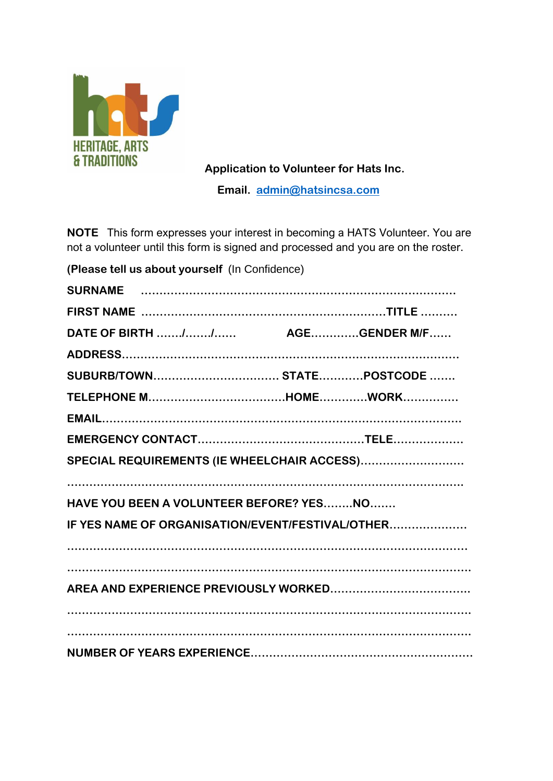

 **Application to Volunteer for Hats Inc.**

 **Email. [admin@hatsincsa.com](mailto:admin@hatsincsa.com)**

**NOTE** This form expresses your interest in becoming a HATS Volunteer. You are not a volunteer until this form is signed and processed and you are on the roster.

| (Please tell us about yourself (In Confidence)   |  |
|--------------------------------------------------|--|
|                                                  |  |
|                                                  |  |
|                                                  |  |
|                                                  |  |
| SUBURB/TOWN STATEPOSTCODE                        |  |
|                                                  |  |
|                                                  |  |
|                                                  |  |
| SPECIAL REQUIREMENTS (IE WHEELCHAIR ACCESS)      |  |
|                                                  |  |
| HAVE YOU BEEN A VOLUNTEER BEFORE? YESNO          |  |
| IF YES NAME OF ORGANISATION/EVENT/FESTIVAL/OTHER |  |
|                                                  |  |
|                                                  |  |
|                                                  |  |
|                                                  |  |
|                                                  |  |
|                                                  |  |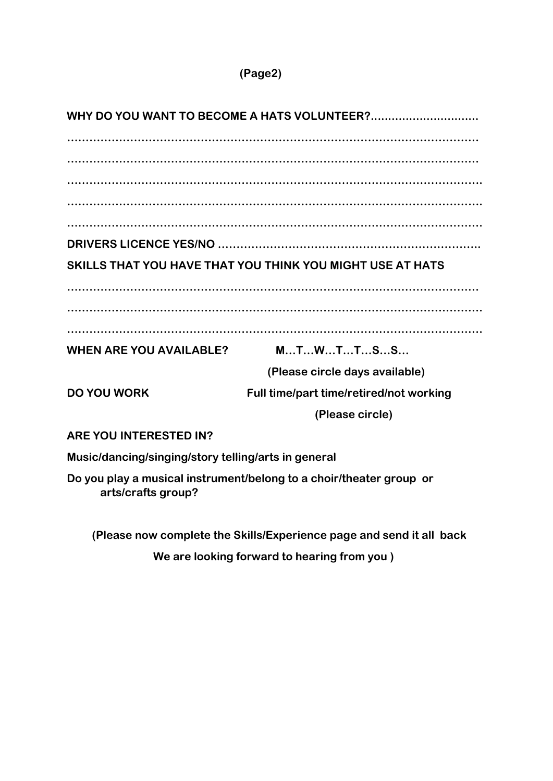## **(Page2)**

|                                                     | SKILLS THAT YOU HAVE THAT YOU THINK YOU MIGHT USE AT HATS            |
|-----------------------------------------------------|----------------------------------------------------------------------|
|                                                     |                                                                      |
|                                                     |                                                                      |
| <b>WHEN ARE YOU AVAILABLE?</b>                      | MTWTTSS                                                              |
|                                                     | (Please circle days available)                                       |
| <b>DO YOU WORK</b>                                  | Full time/part time/retired/not working                              |
|                                                     | (Please circle)                                                      |
| ARE YOU INTERESTED IN?                              |                                                                      |
| Music/dancing/singing/story telling/arts in general |                                                                      |
| arts/crafts group?                                  | Do you play a musical instrument/belong to a choir/theater group or  |
|                                                     | (Please now complete the Skills/Experience page and send it all back |
|                                                     | We are looking forward to hearing from you)                          |